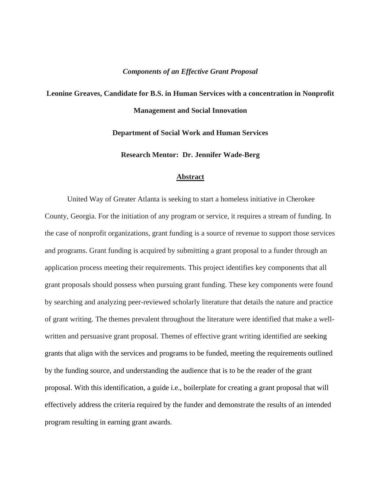## *Components of an Effective Grant Proposal*

## **Leonine Greaves, Candidate for B.S. in Human Services with a concentration in Nonprofit Management and Social Innovation**

**Department of Social Work and Human Services** 

**Research Mentor: Dr. Jennifer Wade-Berg**

## **Abstract**

United Way of Greater Atlanta is seeking to start a homeless initiative in Cherokee County, Georgia. For the initiation of any program or service, it requires a stream of funding. In the case of nonprofit organizations, grant funding is a source of revenue to support those services and programs. Grant funding is acquired by submitting a grant proposal to a funder through an application process meeting their requirements. This project identifies key components that all grant proposals should possess when pursuing grant funding. These key components were found by searching and analyzing peer-reviewed scholarly literature that details the nature and practice of grant writing. The themes prevalent throughout the literature were identified that make a wellwritten and persuasive grant proposal. Themes of effective grant writing identified are seeking grants that align with the services and programs to be funded, meeting the requirements outlined by the funding source, and understanding the audience that is to be the reader of the grant proposal. With this identification, a guide i.e., boilerplate for creating a grant proposal that will effectively address the criteria required by the funder and demonstrate the results of an intended program resulting in earning grant awards.